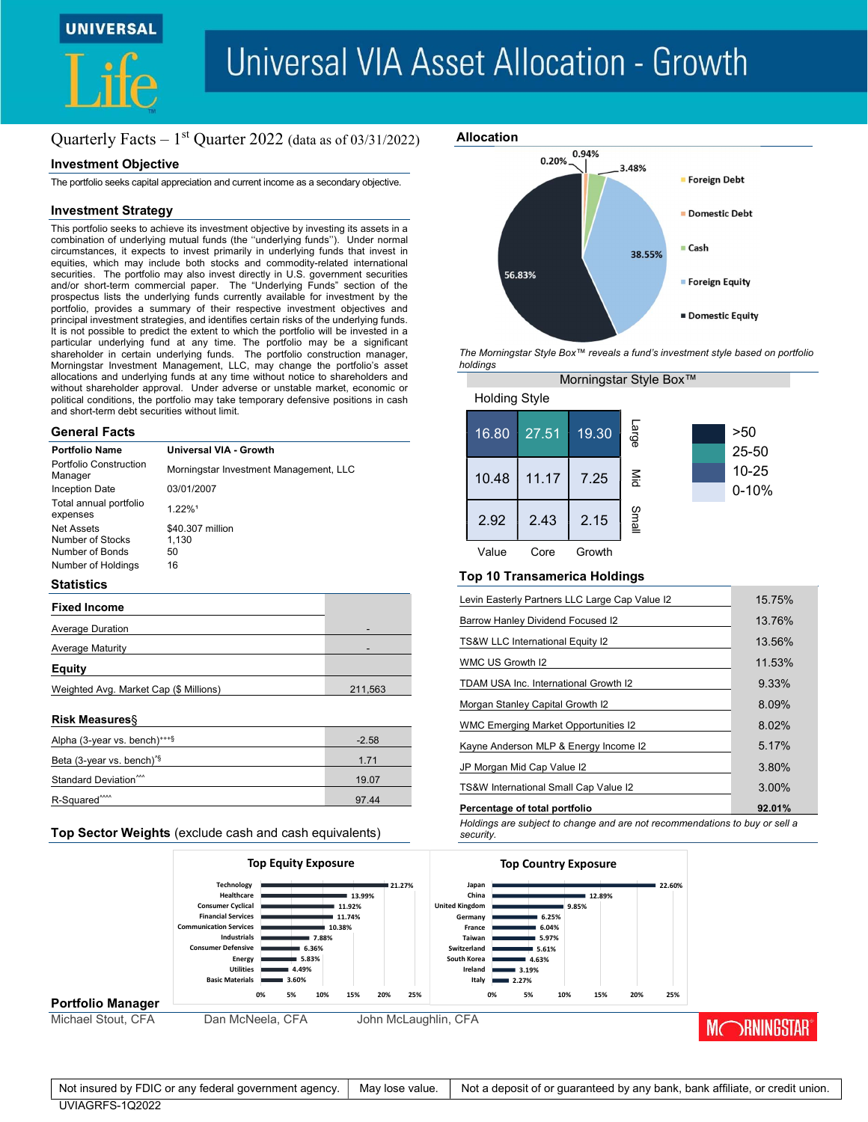



# **Universal VIA Asset Allocation - Growth**

# Quarterly Facts  $-1$ <sup>st</sup> Quarter 2022 (data as of 03/31/2022)

# Investment Objective

The portfolio seeks capital appreciation and current income as a secondary objective.

# Investment Strategy

This portfolio seeks to achieve its investment objective by investing its assets in a combination of underlying mutual funds (the ''underlying funds''). Under normal circumstances, it expects to invest primarily in underlying funds that invest in equities, which may include both stocks and commodity-related international securities. The portfolio may also invest directly in U.S. government securities and/or short-term commercial paper. The "Underlying Funds" section of the prospectus lists the underlying funds currently available for investment by the portfolio, provides a summary of their respective investment objectives and principal investment strategies, and identifies certain risks of the underlying funds. It is not possible to predict the extent to which the portfolio will be invested in a particular underlying fund at any time. The portfolio may be a significant shareholder in certain underlying funds. The portfolio construction manager, Morningstar Investment Management, LLC, may change the portfolio's asset allocations and underlying funds at any time without notice to shareholders and without shareholder approval. Under adverse or unstable market, economic or political conditions, the portfolio may take temporary defensive positions in cash and short-term debt securities without limit.

# General Facts

| <b>Portfolio Name</b>                                    | Universal VIA - Growth                 |
|----------------------------------------------------------|----------------------------------------|
| Portfolio Construction<br>Manager                        | Morningstar Investment Management, LLC |
| Inception Date                                           | 03/01/2007                             |
| Total annual portfolio<br>expenses                       | 1.22%1                                 |
| <b>Net Assets</b><br>Number of Stocks<br>Number of Bonds | \$40.307 million<br>1.130<br>50        |
| Number of Holdings                                       | 16                                     |
|                                                          |                                        |

# **Statistics**

| <b>Fixed Income</b>                    |         |
|----------------------------------------|---------|
| <b>Average Duration</b>                |         |
| <b>Average Maturity</b>                |         |
| <b>Equity</b>                          |         |
| Weighted Avg. Market Cap (\$ Millions) | 211,563 |
|                                        |         |

### Risk Measures§

| Alpha (3-year vs. bench) <sup><math>***</math>§</sup>       | $-2.58$ |
|-------------------------------------------------------------|---------|
| Beta (3-year vs. bench) <sup><math>\frac{5}{3}</math></sup> | 1 7 1   |
| Standard Deviation <sup>***</sup>                           | 19.07   |
| R-Squared <sup>****</sup>                                   | 97.44   |

# Allocation 0.94% 0.20% 3.48% Foreign Debt Domestic Debt ■ Cash 38.55% 56.83% ■ Foreign Equity **Domestic Equity**

The Morningstar Style Box™ reveals a fund's investment style based on portfolio holdings

|                      |       |        | Morningstar Style Box™ |                        |
|----------------------|-------|--------|------------------------|------------------------|
| <b>Holding Style</b> |       |        |                        |                        |
| 16.80                | 27.51 | 19.30  | Large                  | >50<br>25-50           |
| 10.48                | 11.17 | 7.25   | $\frac{8}{5}$          | $10 - 25$<br>$0 - 10%$ |
| 2.92                 | 2.43  | 2.15   | Small                  |                        |
| Value                | Core  | Growth |                        |                        |

# Top 10 Transamerica Holdings

| Levin Easterly Partners LLC Large Cap Value I2                                                                                                                                                                  | 15.75%       |  |
|-----------------------------------------------------------------------------------------------------------------------------------------------------------------------------------------------------------------|--------------|--|
| Barrow Hanley Dividend Focused I2                                                                                                                                                                               | 13.76%       |  |
| TS&W LLC International Equity I2                                                                                                                                                                                | 13.56%       |  |
| WMC US Growth I2                                                                                                                                                                                                | 11.53%       |  |
| TDAM USA Inc. International Growth I2                                                                                                                                                                           | 9.33%        |  |
| Morgan Stanley Capital Growth I2                                                                                                                                                                                | 8.09%        |  |
| <b>WMC Emerging Market Opportunities I2</b>                                                                                                                                                                     | 8.02%        |  |
| Kayne Anderson MLP & Energy Income I2                                                                                                                                                                           | 5.17%        |  |
| JP Morgan Mid Cap Value I2                                                                                                                                                                                      | 3.80%        |  |
| TS&W International Small Cap Value I2                                                                                                                                                                           | 3.00%        |  |
| Percentage of total portfolio                                                                                                                                                                                   | 92.01%       |  |
| security.<br><b>Top Country Exposure</b><br>■ 22.60%<br>Japan<br>China<br>12.89%<br>Kingdom<br>9.85%<br>6.25%<br>Germany<br>France<br>6.04%<br>Taiwan<br>5.97%<br>vitzerland<br>■ 5.61%<br>uth Korea<br>■ 4.63% |              |  |
| Ireland<br>3.19%<br>Italy<br>2.27%                                                                                                                                                                              |              |  |
| 0%<br>5%<br>10%<br>15%<br>20%<br>25%                                                                                                                                                                            |              |  |
| <b>CFA</b>                                                                                                                                                                                                      | MCRNINGSTAR® |  |
| Not a deposit of or guaranteed by any bank, bank affiliate, or credit union.                                                                                                                                    |              |  |

| <b>Average Maturity</b>                               |                                                                                                                                                                                                     |                                                                                        |                                      |                 |                                                                                                        | TS&W LLC International Equity I2                                                     |                                                       |        |     |          | 13.56%                                                                       |
|-------------------------------------------------------|-----------------------------------------------------------------------------------------------------------------------------------------------------------------------------------------------------|----------------------------------------------------------------------------------------|--------------------------------------|-----------------|--------------------------------------------------------------------------------------------------------|--------------------------------------------------------------------------------------|-------------------------------------------------------|--------|-----|----------|------------------------------------------------------------------------------|
| <b>Equity</b>                                         |                                                                                                                                                                                                     |                                                                                        |                                      |                 | WMC US Growth I2                                                                                       |                                                                                      |                                                       |        |     | 11.53%   |                                                                              |
| Weighted Avg. Market Cap (\$ Millions)                |                                                                                                                                                                                                     |                                                                                        | 211,563                              |                 | TDAM USA Inc. International Growth I2                                                                  |                                                                                      |                                                       |        |     |          | 9.33%                                                                        |
|                                                       |                                                                                                                                                                                                     |                                                                                        |                                      |                 | Morgan Stanley Capital Growth I2                                                                       |                                                                                      |                                                       |        |     | 8.09%    |                                                                              |
| <b>Risk Measures</b>                                  |                                                                                                                                                                                                     |                                                                                        |                                      |                 |                                                                                                        | WMC Emerging Market Opportunities I2                                                 |                                                       |        |     |          | 8.02%                                                                        |
| Alpha (3-year vs. bench) <sup>+++§</sup>              |                                                                                                                                                                                                     |                                                                                        | $-2.58$                              |                 | Kayne Anderson MLP & Energy Income I2                                                                  |                                                                                      |                                                       |        |     | 5.17%    |                                                                              |
| Beta (3-year vs. bench) <sup>19</sup>                 |                                                                                                                                                                                                     |                                                                                        | 1.71                                 |                 | JP Morgan Mid Cap Value I2                                                                             |                                                                                      |                                                       |        |     | 3.80%    |                                                                              |
| Standard Deviation <sup>^^^</sup>                     |                                                                                                                                                                                                     |                                                                                        | 19.07                                |                 | TS&W International Small Cap Value I2                                                                  |                                                                                      |                                                       |        |     | 3.00%    |                                                                              |
| R-Squared <sup>****</sup>                             |                                                                                                                                                                                                     |                                                                                        | 97.44                                |                 |                                                                                                        | Percentage of total portfolio                                                        |                                                       |        |     |          | 92.01%                                                                       |
|                                                       | Technology<br>Healthcare<br><b>Consumer Cyclical</b><br><b>Financial Services</b><br><b>Communication Services</b><br><b>Industrials</b><br><b>Consumer Defensive</b><br>Energy<br><b>Utilities</b> | <b>Top Equity Exposure</b><br>$\blacksquare$ 7.88%<br>6.36%<br>$\equiv$ 5.83%<br>4.49% | 13.99%<br>11.92%<br>11.74%<br>10.38% | ■ 21.27%        | China<br><b>United Kingdom</b><br>Germany<br>France<br>Taiwan<br>Switzerland<br>South Korea<br>Ireland | <b>Top Country Exposure</b><br>$\blacksquare$ 5.61%<br>4.63%<br>$\blacksquare$ 3.19% | 9.85%<br>$= 6.25%$<br>■ 6.04%<br>$\blacksquare$ 5.97% | 12.89% |     | ■ 22.60% |                                                                              |
| <b>Portfolio Manager</b>                              | <b>Basic Materials</b><br>0%                                                                                                                                                                        | 3.60%<br>10%                                                                           | 15%<br>20%                           | 25%             |                                                                                                        | 2.27%<br>5%                                                                          | 10%                                                   | 15%    | 20% | 25%      |                                                                              |
| Michael Stout, CFA                                    | Dan McNeela, CFA                                                                                                                                                                                    |                                                                                        |                                      |                 | John McLaughlin, CFA                                                                                   |                                                                                      |                                                       |        |     |          |                                                                              |
|                                                       |                                                                                                                                                                                                     |                                                                                        |                                      |                 |                                                                                                        |                                                                                      |                                                       |        |     |          | <b>MCORNINGSTAR</b>                                                          |
| Not insured by FDIC or any federal government agency. |                                                                                                                                                                                                     |                                                                                        |                                      | May lose value. |                                                                                                        |                                                                                      |                                                       |        |     |          | Not a deposit of or guaranteed by any bank, bank affiliate, or credit union. |